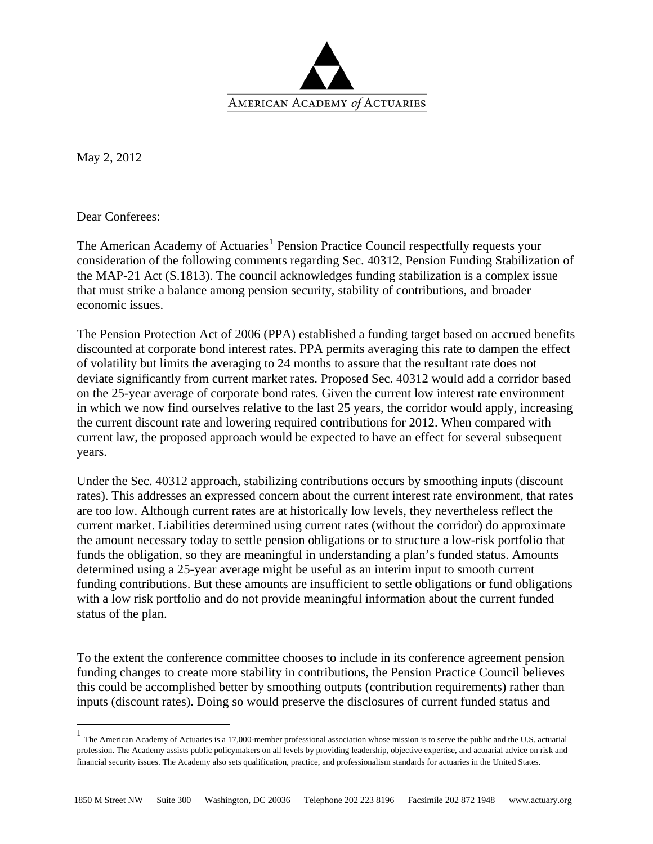

May 2, 2012

Dear Conferees:

The American Academy of Actuaries<sup>[1](#page-0-0)</sup> Pension Practice Council respectfully requests your consideration of the following comments regarding Sec. 40312, Pension Funding Stabilization of the MAP-21 Act (S.1813). The council acknowledges funding stabilization is a complex issue that must strike a balance among pension security, stability of contributions, and broader economic issues.

The Pension Protection Act of 2006 (PPA) established a funding target based on accrued benefits discounted at corporate bond interest rates. PPA permits averaging this rate to dampen the effect of volatility but limits the averaging to 24 months to assure that the resultant rate does not deviate significantly from current market rates. Proposed Sec. 40312 would add a corridor based on the 25-year average of corporate bond rates. Given the current low interest rate environment in which we now find ourselves relative to the last 25 years, the corridor would apply, increasing the current discount rate and lowering required contributions for 2012. When compared with current law, the proposed approach would be expected to have an effect for several subsequent years.

Under the Sec. 40312 approach, stabilizing contributions occurs by smoothing inputs (discount rates). This addresses an expressed concern about the current interest rate environment, that rates are too low. Although current rates are at historically low levels, they nevertheless reflect the current market. Liabilities determined using current rates (without the corridor) do approximate the amount necessary today to settle pension obligations or to structure a low-risk portfolio that funds the obligation, so they are meaningful in understanding a plan's funded status. Amounts determined using a 25-year average might be useful as an interim input to smooth current funding contributions. But these amounts are insufficient to settle obligations or fund obligations with a low risk portfolio and do not provide meaningful information about the current funded status of the plan.

To the extent the conference committee chooses to include in its conference agreement pension funding changes to create more stability in contributions, the Pension Practice Council believes this could be accomplished better by smoothing outputs (contribution requirements) rather than inputs (discount rates). Doing so would preserve the disclosures of current funded status and

<span id="page-0-0"></span> 1 The American Academy of Actuaries is a 17,000-member professional association whose mission is to serve the public and the U.S. actuarial profession. The Academy assists public policymakers on all levels by providing leadership, objective expertise, and actuarial advice on risk and financial security issues. The Academy also sets qualification, practice, and professionalism standards for actuaries in the United States.